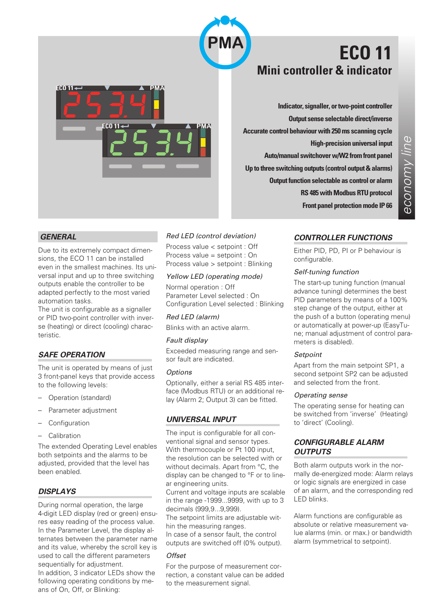

# **ECO 11 Mini controller & indicator**



**Indicator, signaller, or two-point controller Output sense selectable direct/inverse Accurate control behaviour with 250 ms scanning cycle High-precision universal input Auto/manual switchover w/W2 from front panel Up to three switching outputs (control output & alarms) Output function selectable as control or alarm RS 485 with Modbus RTU protocol Front panel protection mode IP 66**

# *GENERAL*

Due to its extremely compact dimensions, the ECO 11 can be installed even in the smallest machines. Its universal input and up to three switching outputs enable the controller to be adapted perfectly to the most varied automation tasks.

The unit is configurable as a signaller or PID two-point controller with inverse (heating) or direct (cooling) characteristic.

# *SAFE OPERATION*

The unit is operated by means of just 3 front-panel keys that provide access to the following levels:

- Operation (standard)
- Parameter adjustment
- **Configuration**
- Calibration

The extended Operating Level enables both setpoints and the alarms to be adjusted, provided that the level has been enabled.

# *DISPLAYS*

During normal operation, the large 4-digit LED display (red or green) ensures easy reading of the process value. In the Parameter Level, the display alternates between the parameter name and its value, whereby the scroll key is used to call the different parameters sequentially for adjustment. In addition, 3 indicator LEDs show the following operating conditions by means of On, Off, or Blinking:

# *Red LED (control deviation)*

Process value < setpoint : Off Process value = setpoint : On Process value > setpoint : Blinking

### *Yellow LED (operating mode)*

Normal operation : Off Parameter Level selected : On Configuration Level selected : Blinking

*Red LED (alarm)*

Blinks with an active alarm.

## *Fault display*

Exceeded measuring range and sensor fault are indicated.

#### *Options*

Optionally, either a serial RS 485 interface (Modbus RTU) or an additional relay (Alarm 2; Output 3) can be fitted.

# *UNIVERSAL INPUT*

The input is configurable for all conventional signal and sensor types. With thermocouple or Pt 100 input, the resolution can be selected with or without decimals. Apart from °C, the display can be changed to °F or to linear engineering units.

Current and voltage inputs are scalable in the range -1999...9999, with up to 3 decimals (999,9...9,999).

The setpoint limits are adjustable within the measuring ranges.

In case of a sensor fault, the control outputs are switched off (0% output).

#### *Offset*

For the purpose of measurement correction, a constant value can be added to the measurement signal.

# *CONTROLLER FUNCTIONS*

Either PID, PD, PI or P behaviour is configurable.

#### *Self-tuning function*

The start-up tuning function (manual advance tuning) determines the best PID parameters by means of a 100% step change of the output, either at the push of a button (operating menu) or automatically at power-up (EasyTune; manual adjustment of control parameters is disabled).

# *Setpoint*

Apart from the main setpoint SP1, a second setpoint SP2 can be adjusted and selected from the front.

### *Operating sense*

The operating sense for heating can be switched from 'inverse' (Heating) to 'direct' (Cooling).

# *CONFIGURABLE ALARM OUTPUTS*

Both alarm outputs work in the normally de-energized mode: Alarm relays or logic signals are energized in case of an alarm, and the corresponding red LED blinks.

Alarm functions are configurable as absolute or relative measurement value alarms (min. or max.) or bandwidth alarm (symmetrical to setpoint).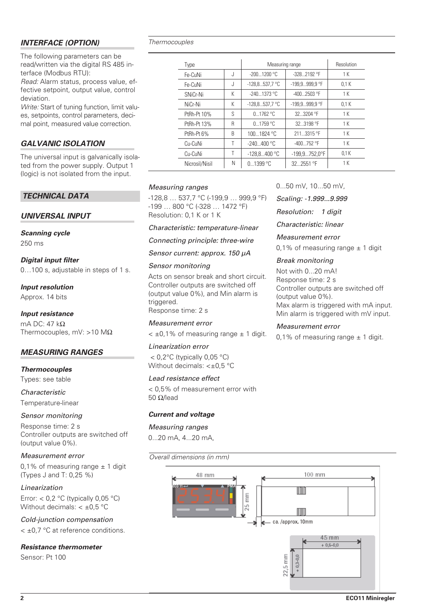# *INTERFACE (OPTION)*

The following parameters can be read/written via the digital RS 485 interface (Modbus RTU):

*Read:* Alarm status, process value, effective setpoint, output value, control deviation.

*Write:* Start of tuning function, limit values, setpoints, control parameters, decimal point, measured value correction.

# *GALVANIC ISOLATION*

The universal input is galvanically isolated from the power supply. Output 1 (logic) is not isolated from the input.

# *TECHNICAL DATA*

# *UNIVERSAL INPUT*

# *Scanning cycle*

250 ms

*Digital input filter* 0…100 s, adjustable in steps of 1 s.

*Input resolution*

Approx. 14 bits

# *Input resistance*

mA DC: 47 kΩ Thermocouples, mV: >10 MΩ

# *MEASURING RANGES*

*Thermocouples* Types: see table

*Characteristic* Temperature-linear

# *Sensor monitoring*

Response time: 2 s Controller outputs are switched off (output value 0%).

# *Measurement error*

0,1% of measuring range  $\pm$  1 digit (Types J and T: 0,25 %)

*Linearization* Error:  $< 0.2$  °C (typically 0,05 °C) Without decimals:  $< \pm 0.5$  °C

*Cold-junction compensation*

< ±0,7 °C at reference conditions.

# *Resistance thermometer*

Sensor: Pt 100

#### *Thermocouples*

| Type           |   | Measuring range  |                        | Resolution |
|----------------|---|------------------|------------------------|------------|
| Fe-CuNi        | J | $-2001200 °C$    | $-328.2192$ °F         | 1 K        |
| Fe-CuNi        | J | $-128.8537.7 °C$ | -199.9999.9 °F         | 0.1K       |
| SNiCr-Ni       | K | $-2401373$ °C    | $-4002503$ °F          | 1 K        |
| NiCr-Ni        | К | $-128.8537.7 °C$ | -199.9999.9 °F         | 0.1K       |
| PtRh-Pt 10%    | S | 0.1762 °C        | 32  3204 °F            | 1 K        |
| PtRh-Pt 13%    | R | 0.1759 °C        | 32.3198 °F             | 1 K        |
| PtRh-Pt 6%     | B | 1001824 °C       | 211.3315 °F            | 1 K        |
| Cu-CuNi        | Τ | $-240400 °C$     | $-400752$ °F           | 1 K        |
| Cu-CuNi        |   | $-128.8400$ °C   | $-199.9752.0^{\circ}F$ | 0.1K       |
| Nicrosil/Nisil | N | 0.1399 °C        | 32.2551 °F             | 1 K        |

# *Measuring ranges*

-128,8 … 537,7 °C (-199,9 … 999,9 °F) -199 … 800 °C (-328 … 1472 °F) Resolution: 0,1 K or 1 K

*Characteristic: temperature-linear*

*Connecting principle: three-wire*

*Sensor current: approx. 150 µA*

### *Sensor monitoring*

Acts on sensor break and short circuit. Controller outputs are switched off (output value 0%), and Min alarm is triggered. Response time: 2 s

*Measurement error*

 $<$   $\pm$ 0.1% of measuring range  $\pm$  1 digit.

# *Linearization error*

< 0,2°C (typically 0,05 °C) Without decimals: < $\pm$ 0,5 °C

# *Lead resistance effect*

< 0,5% of measurement error with 50 Ω/lead

# *Current and voltage*

*Measuring ranges* 0...20 mA, 4...20 mA,

*Overall dimensions (in mm)*



*Scaling: -1.999...9.999*

*Resolution: 1 digit*

*Characteristic: linear*

*Measurement error*

0,1% of measuring range  $\pm$  1 digit

# *Break monitoring*

Not with 0...20 mA! Response time: 2 s Controller outputs are switched off (output value 0%). Max alarm is triggered with mA input. Min alarm is triggered with mV input.

# *Measurement error*

0,1% of measuring range  $\pm$  1 digit.

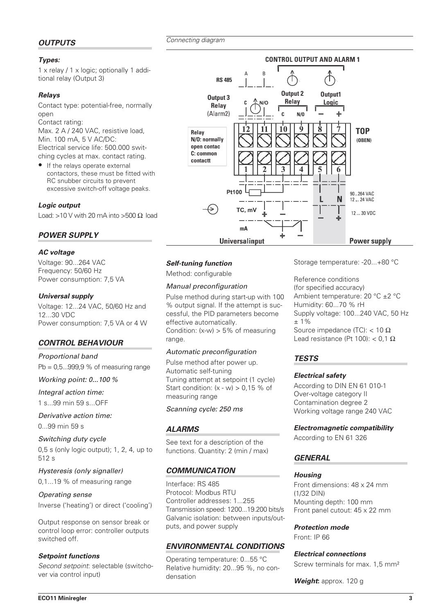*Connecting diagram*

# *OUTPUTS*

## *Types:*

1 x relay/1x logic; optionally 1 additional relay (Output 3)

# *Relays*

Contact type: potential-free, normally open

Contact rating: Max. 2 A / 240 VAC, resistive load, Min. 100 mA, 5 V AC/DC: Electrical service life: 500.000 switching cycles at max. contact rating.

• If the relays operate external contactors, these must be fitted with RC snubber circuits to prevent excessive switch-off voltage peaks.

# *Logic output*

Load: >10 V with 20 mA into >500  $\Omega$  load

# *POWER SUPPLY*

#### *AC voltage*

Voltage: 90...264 VAC Frequency: 50/60 Hz Power consumption: 7,5 VA

#### *Universal supply*

Voltage: 12...24 VAC, 50/60 Hz and 12...30 VDC Power consumption: 7,5 VA or 4 W

# *CONTROL BEHAVIOUR*

*Proportional band* Pb = 0,5...999,9 % of measuring range

#### *Working point: 0...100 %*

*Integral action time:*

1 s...99 min 59 s...OFF

*Derivative action time:* 0...99 min 59 s

*Switching duty cycle* 0,5 s (only logic output); 1, 2, 4, up to 512 s

*Hysteresis (only signaller)*

```
0,1...19 % of measuring range
```
*Operating sense* Inverse ('heating') or direct ('cooling')

Output response on sensor break or control loop error: controller outputs switched off.

#### *Setpoint functions*

*Second setpoint*: selectable (switchover via control input)



### *Self-tuning function*

Method: configurable

### *Manual preconfiguration*

Pulse method during start-up with 100 % output signal. If the attempt is successful, the PID parameters become effective automatically. Condition:  $(x-w) > 5%$  of measuring range.

#### *Automatic preconfiguration*

Pulse method after power up. Automatic self-tuning Tuning attempt at setpoint (1 cycle) Start condition:  $(x - w) > 0.15$  % of measuring range

#### *Scanning cycle: 250 ms*

# *ALARMS*

See text for a description of the functions. Quantity: 2 (min / max)

# *COMMUNICATION*

Interface: RS 485 Protocol: Modbus RTU Controller addresses: 1...255 Transmission speed: 1200...19.200 bits/s Galvanic isolation: between inputs/outputs, and power supply

# *ENVIRONMENTAL CONDITIONS*

Operating temperature: 0...55 °C Relative humidity: 20...95 %, no condensation

Storage temperature: -20...+80 °C

**Reference conditions** (for specified accuracy) Ambient temperature: 20 °C ±2 °C Humidity: 60...70 % rH Supply voltage: 100...240 VAC, 50 Hz ± 1% Source impedance (TC):  $<$  10  $\Omega$ Lead resistance (Pt 100):  $<$  0,1  $\Omega$ 

# *TESTS*

#### *Electrical safety*

According to DIN EN 61 010-1 Over-voltage category II Contamination degree 2 Working voltage range 240 VAC

#### *Electromagnetic compatibility*

According to EN 61 326

# *GENERAL*

#### *Housing*

Front dimensions: 48 x 24 mm (1/32 DIN) Mounting depth: 100 mm Front panel cutout: 45 x 22 mm

*Protection mode*

Front: IP 66

#### *Electrical connections*

Screw terminals for max. 1,5 mm²

*Weight***:** approx. 120 g